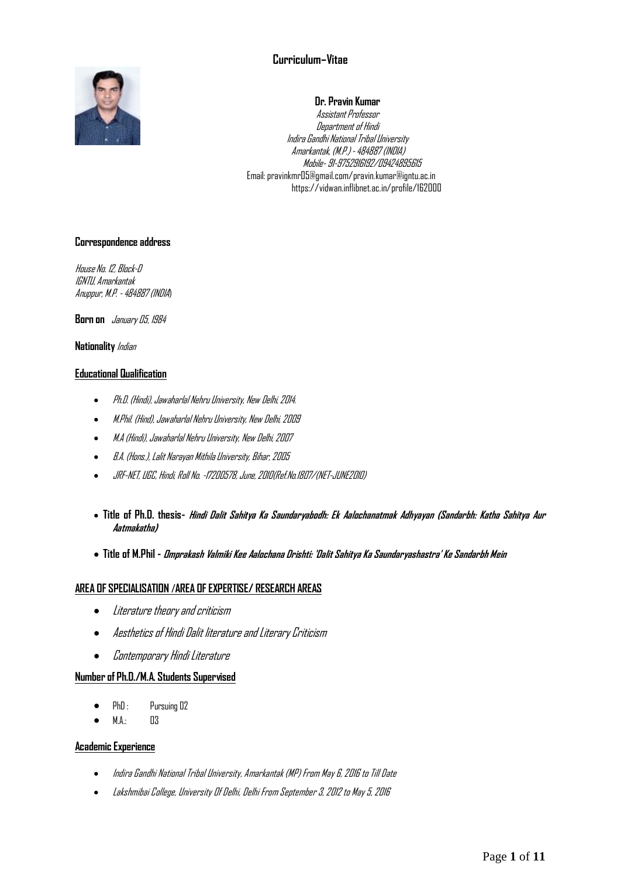# **Curriculum–Vitae**



## **Dr. Pravin Kumar**

Assistant Professor Department of Hindi Indira Gandhi National Tribal University Amarkantak, (M.P.) -484887 (INDIA) Mobile- 91-9752916192/09424895615 Email: pravinkmr05@gmail.com/pravin.kumar@igntu.ac.in https://vidwan.inflibnet.ac.in/profile/162000

## **Correspondence address**

House No. 12, Block-D IGNTU, Amarkantak Anuppur, M.P. -484887 (INDIA)

**Born on** *January 05, 1984* 

## **Nationality** Indian

## **Educational Qualification**

- Ph.D. (Hindi), Jawaharlal Nehru University, New Delhi, 2014.
- M.Phil. (Hind),Jawaharlal Nehru University, New Delhi, 2009
- M.A (Hindi), Jawaharlal Nehru University, New Delhi,2007
- B.A. (Hons.), Lalit Narayan Mithila University, Bihar, 2005
- JRF-NET, UGC, Hindi, Roll No. -17200578, June, 2010(Ref.No.1807/(NET-JUNE2010)
- **Title of Ph.D. thesis- Hindi Dalit Sahitya Ka Saundaryabodh: Ek Aalochanatmak Adhyayan (Sandarbh: Katha Sahitya Aur Aatmakatha)**
- **Title of M.Phil - Omprakash Valmiki Kee Aalochana Drishti: 'Dalit Sahitya Ka Saundaryashastra' Ke Sandarbh Mein**

# **AREA OF SPECIALISATION /AREA OF EXPERTISE/ RESEARCH AREAS**

- $\bullet$  Literature theory and criticism
- Aesthetics of Hindi Dalit literature and Literary Criticism
- $\bullet$  *Contemporary Hindi Literature*

# **Number of Ph.D./M.A. Students Supervised**

- PhD: Pursuing 02
- M.A.: 03

## **Academic Experience**

- Indira Gandhi National Tribal University, Amarkantak (MP) From May 6, 2016 to Till Date
- Lakshmibai College, University Of Delhi, Delhi From September 3, 2012 to May 5, 2016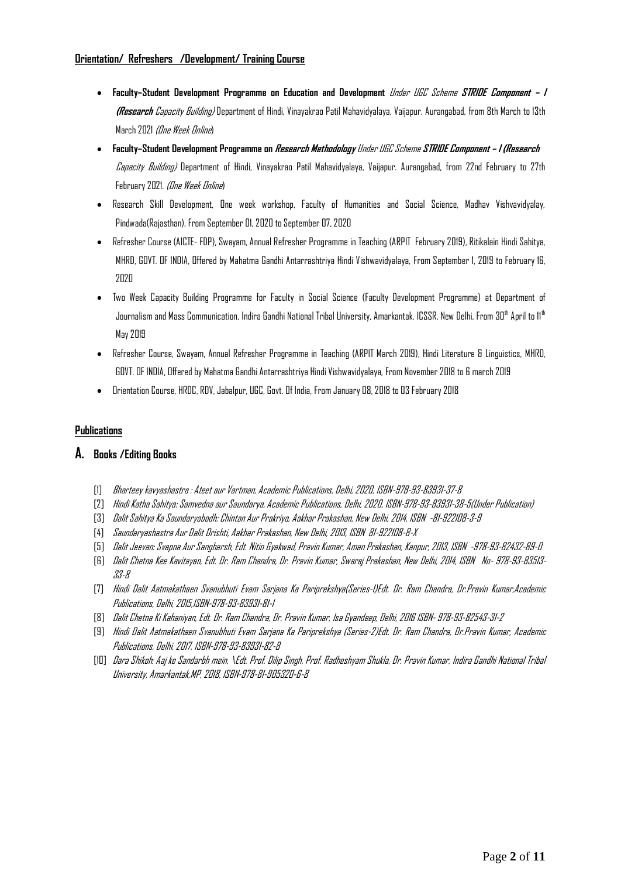# **Orientation/ Refreshers /Development/ Training Course**

- **Faculty–Student Development Programme on Education and Development** Under UGC Scheme **STRIDE Component – I (Research** Capacity Building) Department of Hindi, Vinayakrao Patil Mahavidyalaya, Vaijapur. Aurangabad, from 8th March to 13th March 2021 (One Week Online)
- **Faculty–Student Development Programme on Research Methodology** Under UGC Scheme **STRIDE Component – I (Research** Capacity Building) Department of Hindi, Vinayakrao Patil Mahavidyalaya, Vaijapur. Aurangabad, from 22nd February to 27th February 2021. (One Week Online)
- Research Skill Development, One week workshop, Faculty of Humanities and Social Science, Madhav Vishvavidyalay, Pindwada(Rajasthan), From September 01, 2020 to September 07, 2020
- Refresher Course (AICTE- FDP), Swayam, Annual Refresher Programme in Teaching (ARPIT February 2019), Ritikalain Hindi Sahitya, MHRD, GOVT. OF INDIA, Offered by Mahatma Gandhi Antarrashtriya Hindi Vishwavidyalaya, From September 1, 2019 to February 16, 2020
- Two Week Capacity Building Programme for Faculty in Social Science (Faculty Development Programme) at Department of Journalism and Mass Communication, Indira Gandhi National Tribal University, Amarkantak, ICSSR, New Delhi, From 30<sup>th</sup> April to 11<sup>th</sup> May 2019
- Refresher Course, Swayam, Annual Refresher Programme in Teaching (ARPIT March 2019), Hindi Literature & Linguistics, MHRD, GOVT. OF INDIA, Offered by Mahatma Gandhi Antarrashtriya Hindi Vishwavidyalaya, From November 2018 to 6 march 2019
- Orientation Course, HRDC, RDV, Jabalpur, UGC, Govt. Of India, From January 08, 2018 to 03 February 2018

## **Publications**

# **A. Books /Editing Books**

- [1] Bharteey kavyashastra : Ateet aur Vartman, Academic Publications, Delhi, 2020, ISBN-978-93-83931-37-8
- [2] Hindi Katha Sahitya: Samvedna aur Saundarya, Academic Publications, Delhi, 2020, ISBN-978-93-83931-38-5(Under Publication)
- [3] Dalit Sahitya Ka Saundaryabodh: Chintan Aur Prakriya, Aakhar Prakashan, New Delhi, 2014, ISBN -81-922108-3-9
- [4] Saundaryashastra Aur Dalit Drishti, Aakhar Prakashan, New Delhi, 2013, ISBN 81-922108-8-X
- [5] Dalit Jeevan: Svapna Aur Sangharsh, Edt. Nitin Gyakwad, Pravin Kumar, Aman Prakashan, Kanpur, 2013, ISBN -978-93-82432-89-0
- [6] Dalit Chetna Kee Kavitayan, Edt. Dr. Ram Chandra, Dr. Pravin Kumar, Swaraj Prakashan, New Delhi, 2014, ISBN No- 978-93-83513- 33-8
- [7] Hindi Dalit Aatmakathaen Svanubhuti Evam Sarjana Ka Pariprekshya(Series-1)Edt. Dr. Ram Chandra, Dr.Pravin Kumar,Academic Publications, Delhi, 2015,ISBN-978-93-83931-81-1
- [8] Dalit Chetna Ki Kahaniyan, Edt. Dr. Ram Chandra, Dr. Pravin Kumar, Isa Gyandeep, Delhi, 2016 ISBN- 978-93-82543-31-2
- [9] Hindi Dalit Aatmakathaen Svanubhuti Evam Sarjana Ka Pariprekshya (Series-2)Edt. Dr. Ram Chandra, Dr.Pravin Kumar, Academic Publications, Delhi, 2017, ISBN-978-93-83931-82-8
- [10] Dara Shikoh: Aaj ke Sandarbh mein, \Edt. Prof. Dilip Singh, Prof. Radheshyam Shukla, Dr. Pravin Kumar, Indira Gandhi National Tribal University, Amarkantak,MP,2018, ISBN-978-81-905320-6-8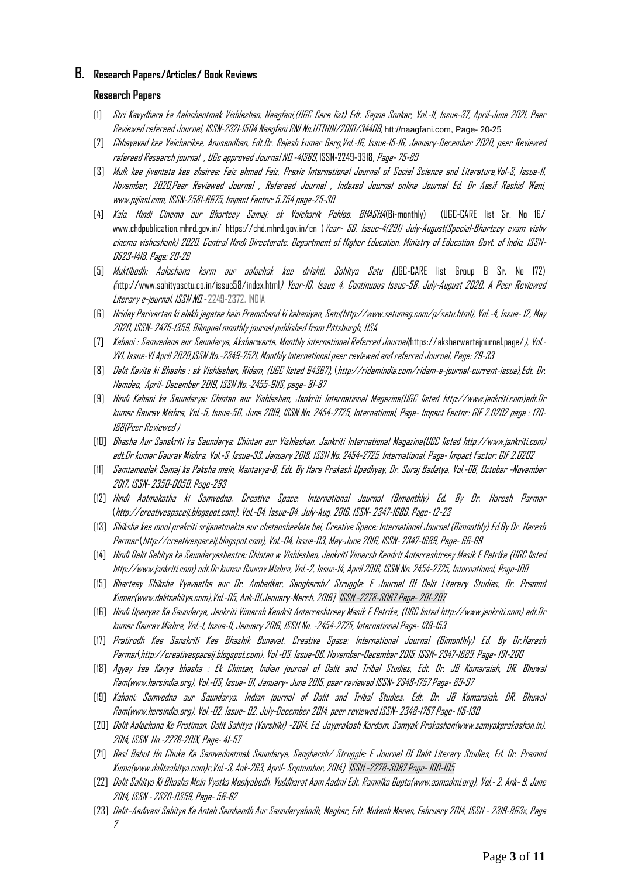## **B. Research Papers/Articles/ Book Reviews**

## **Research Papers**

- [1] Stri Kavydhara ka Aalochantmak Vishleshan, Naagfani,(UGC Care list) Edt. Sapna Sonkar, Vol.-11, Issue-37, April-June 2021, Peer Reviewed refereed Journal, ISSN-2321-1504 Naagfani RNI No.UTTHIN/2010/34408, htt://naagfani.com, Page- 20-25
- [2] Chhayavad kee Vaicharikee, Anusandhan, Edt.Dr. Rajesh kumar Garg,Vol.-16, Issue-15-16, January-December 2020, peer Reviewed refereed Research journal , UGc approved Journal NO.-41389, ISSN-2249-9318, Page-75-89
- [3] Mulk kee jivantata kee shairee: Faiz ahmad Faiz, Praxis International Journal of Social Science and Literature,Vol-3, Issue-11, November, 2020,Peer Reviewed Journal , Refereed Journal , Indexed Journal online Journal Ed. Dr Aasif Rashid Wani, www.pijissl.com, ISSN-2581-6675, Impact Factor: 5.754 page-25-30
- [4] Kala, Hindi Cinema aur Bharteey Samaj: ek Vaicharik Pahloo, BHASHA(Bi-monthly) (UGC-CARE list Sr. No 16/ www.chdpublication.mhrd.gov.in/ https://chd.mhrd.gov.in/en )*Year- 59, Issue-4(29I) July-August(Special-Bharteey evam vishv* cinema visheshank) 2020, Central Hindi Directorate, Department of Higher Education, Ministry of Education, Govt. of India, ISSN-0523-1418, Page: 20-26
- [5] Muktibodh: Aalochana karm aur aalochak kee drishti, Sahitya Setu (UGC-CARE list Group B Sr. No 172) (http://www.sahityasetu.co.in/issue58/index.html) Year-10, Issue 4, Continuous Issue-58, July-August 2020, A Peer Reviewed Literary e-journal, ISSN NO.-2249-2372, INDIA
- [6] Hriday Parivartan ki alakh jagatee hain Premchand ki kahaniyan, Setu(http://www.setumag.com/p/setu.html), Vol.-4, Issue- 12, May 2020, ISSN-2475-1359, Bilingual monthly journal published from Pittsburgh, USA
- [7] Kahani : Samvedana aur Saundarya, Aksharwarta, Monthly international Referred Journal(https://aksharwartajournal.page/), Vol.- XVI, Issue-VI April 2020,ISSN No.-2349-7521, Monthly international peer reviewed and referred Journal, Page: 29-33
- [8] Dalit Kavita ki Bhasha : ek Vishleshan, Ridam, (UGC listed 64367), (http://ridamindia.com/ridam-e-journal-current-issue),Edt. Dr. Namdeo, April- December 2019, ISSN No.-2455-9113, page- 81-87
- [9] Hindi Kahani ka Saundarya: Chintan aur Vishleshan, Jankriti International Magazine(UGC listed http://www.jankriti.com)edt.Dr kumar Gaurav Mishra, Vol.-5, Issue-50, June 2019, ISSN No. 2454-2725, International, Page- Impact Factor: GIF 2.0202 page : 170- 188(Peer Reviewed )
- [10] Bhasha Aur Sanskriti ka Saundarya: Chintan aur Vishleshan, Jankriti International Magazine(UGC listed http://www.jankriti.com) edt.Dr kumar Gaurav Mishra, Vol.-3, Issue-33, January 2018, ISSN No. 2454-2725, International, Page- Impact Factor: GIF 2.0202
- [11] Samtamoolak Samaj ke Paksha mein, Mantavya-8, Edt. By Hare Prakash Upadhyay, Dr. Suraj Badatya, Vol.-08, October -November 2017, ISSN-2350-0050, Page-293
- [12] Hindi Aatmakatha ki Samvedna, Creative Space: International Journal (Bimonthly) Ed. By Dr. Haresh Parmar (http://creativespaceij.blogspot.com), Vol.-04, Issue-04, July-Aug. 2016, ISSN-2347-1689, Page- 12-23
- [13] Shiksha kee mool prakriti srijanatmakta aur chetansheelata hai, Creative Space: International Journal (Bimonthly) Ed.By Dr. Haresh Parmar (http://creativespaceij.blogspot.com), Vol.-04, Issue-03, May-June 2016, ISSN-2347-1689, Page- 66-69
- [14] Hindi Dalit Sahitya ka Saundaryashastra: Chintan w Vishleshan, Jankriti Vimarsh Kendrit Antarrashtreey Masik E Patrika (UGC listed http://www.jankriti.com) edt.Dr kumar Gaurav Mishra, Vol.-2, Issue-14, April 2016, ISSN No. 2454-2725, International, Page-100
- [15] Bharteey Shiksha Vyavastha aur Dr. Ambedkar, Sangharsh/ Struggle: E Journal Of Dalit Literary Studies, Dr. Pramod Kumar(www.dalitsahitya.com),Vol.-05, Ank-01,January-March, 2016] ISSN -2278-3067 Page-201-207
- [16] Hindi Upanyas Ka Saundarya, Jankriti Vimarsh Kendrit Antarrashtreey Masik E Patrika, (UGC listed http://www.jankriti.com) edt.Dr kumar Gaurav Mishra, Vol.-1, Issue-11, January 2016, ISSN No. -2454-2725, International Page- 138-153
- [17] Pratirodh Kee Sanskriti Kee Bhashik Bunavat, Creative Space: International Journal (Bimonthly) Ed. By Dr.Haresh Parmer(http://creativespaceij.blogspot.com), Vol.-03, Issue-06, November-December2015, ISSN-2347-1689, Page- 191-200
- [18] Agyey kee Kavya bhasha : Ek Chintan, Indian journal of Dalit and Tribal Studies, Edt. Dr. JB Komaraiah, DR. Bhuwal Ram(www.hersindia.org), Vol.-03, Issue- 01, January-June 2015, peer reviewed ISSN-2348-1757 Page- 89-97
- [19] Kahani: Samvedna aur Saundarya, Indian journal of Dalit and Tribal Studies, Edt. Dr. JB Komaraiah, DR. Bhuwal Ram(www.hersindia.org), Vol.-02, Issue- 02, July-December2014, peer reviewed ISSN-2348-1757 Page- 115-130
- [20] Dalit Aalochana Ke Pratiman, Dalit Sahitya (Varshiki) -2014, Ed. Jayprakash Kardam, Samyak Prakashan(www.samyakprakashan.in), 2014, ISSN No.-2278-20IX, Page-41-57
- [21] Bas! Bahut Ho Chuka Ka Samvednatmak Saundarya, Sangharsh/ Struggle: E Journal Of Dalit Literary Studies, Ed. Dr. Pramod Kuma(www.dalitsahitya.com)r,Vol.-3, Ank-2&3, April- September, 2014] ISSN -2278-3087 Page- 100-105
- [22] Dalit Sahitya Ki Bhasha Mein Vyatka Moolyabodh, Yuddharat Aam Aadmi Edt. Ramnika Gupta(www.aamadmi.org), Vol.-2, Ank- 9, June 2014, ISSN -2320-0359, Page- 56-62
- [23] Dalit–Aadivasi Sahitya Ka Antah Sambandh Aur Saundaryabodh, Maghar, Edt. Mukesh Manas, February 2014, ISSN 2319-863x, Page 7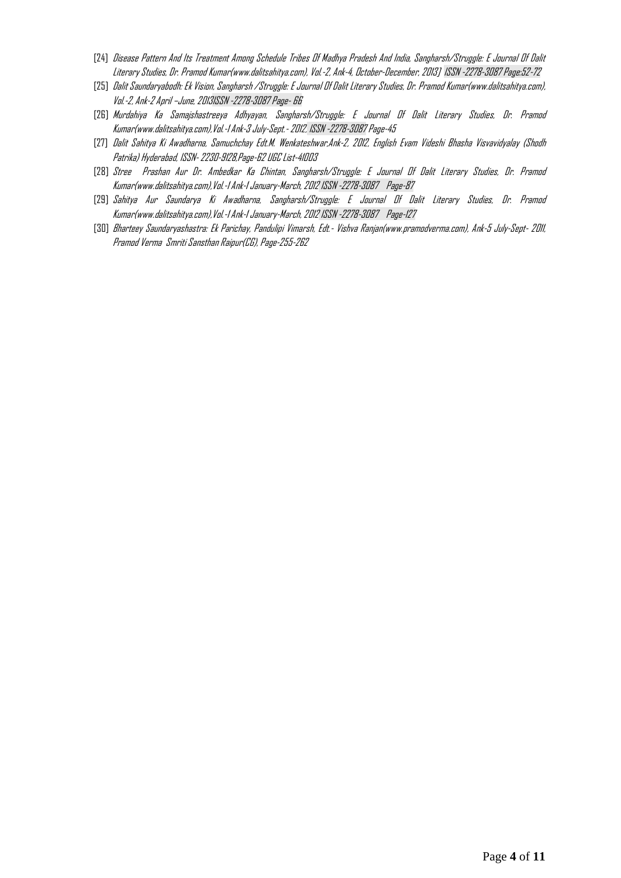- [24] Disease Pattern And Its Treatment Among Schedule Tribes Of Madhya Pradesh And India, Sangharsh/Struggle: E Journal Of Dalit Literary Studies, Dr. Pramod Kumar(www.dalitsahitya.com), Vol.-2, Ank-4, October-December, 2013] ISSN -2278-3087 Page:52-72
- [25] Dalit Saundaryabodh: Ek Vision, Sangharsh /Struggle: E Journal Of Dalit Literary Studies, Dr. Pramod Kumar(www.dalitsahitya.com), Vol.-2, Ank-2 April –June, 2013ISSN -2278-3087 Page- 66
- [26] Murdahiya Ka Samajshastreeya Adhyayan, Sangharsh/Struggle: E Journal Of Dalit Literary Studies, Dr. Pramod Kumar(www.dalitsahitya.com),Vol.-1 Ank-3 July-Sept.-2012, ISSN -2278-3087 Page-45
- [27] Dalit Sahitya Ki Awadharna, Samuchchay Edt.M. Wenkateshwar,Ank-2, 2012, English Evam Videshi Bhasha Visvavidyalay (Shodh Patrika) Hyderabad, ISSN-2230-9128,Page-62 UGC List-41003
- [28] Stree Prashan Aur Dr. Ambedkar Ka Chintan, Sangharsh/Struggle: E Journal Of Dalit Literary Studies, Dr. Pramod Kumar(www.dalitsahitya.com),Vol.-1 Ank-1 January-March, 2012 ISSN -2278-3087 Page-87
- [29] Sahitya Aur Saundarya Ki Awadharna, Sangharsh/Struggle: E Journal Of Dalit Literary Studies, Dr. Pramod Kumar(www.dalitsahitya.com),Vol.-1 Ank-1 January-March, 2012 ISSN -2278-3087 Page-127
- [30] Bharteey Saundaryashastra: Ek Parichay, Pandulipi Vimarsh, Edt.- Vishva Ranjan(www.pramodverma.com), Ank-5 July-Sept- 2011, Pramod Verma Smriti Sansthan Raipur(CG), Page-255-262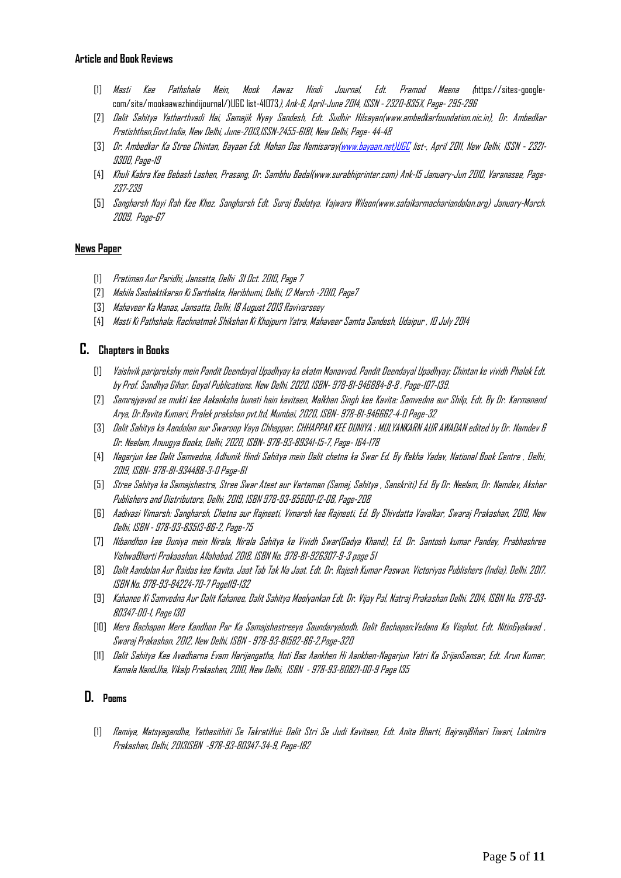## **Article and Book Reviews**

- [1] Masti Kee Pathshala Mein, Mook Aawaz Hindi Journal, Edt. Pramod Meena (https://sites-googlecom/site/mookaawazhindijournal/)UGC list-41073), Ank-6, April-June 2014, ISSN -2320-835X, Page-295-296
- [2] Dalit Sahitya Yatharthvadi Hai, Samajik Nyay Sandesh, Edt. Sudhir Hilsayan(www.ambedkarfoundation.nic.in), Dr. Ambedkar Pratishthan,Govt.India, New Delhi,June-2013,ISSN-2455-6181, New Delhi, Page-44-48
- [3] Dr. Ambedkar Ka Stree Chintan, Bayaan Edt. Mohan Das Nemisara[y\(www.bayaan.net\)UGC](http://www.bayaan.net)ugc/) list-, April 2011, New Delhi, ISSN 2321- 9300, Page-19
- [4] Khuli Kabra Kee Bebash Lashen, Prasang, Dr. Sambhu Badal(www.surabhiprinter.com) Ank-15 January-Jun 2010, Varanasee, Page-237-239
- [5] Sangharsh Nayi Rah Kee Khoz, Sangharsh Edt. Suraj Badatya, Vajwara Wilson(www.safaikarmachariandolan.org) January-March, 2009, Page-67

#### **News Paper**

- [1] Pratiman Aur Paridhi, Jansatta, Delhi 31 Oct. 2010, Page 7
- [2] Mahila Sashaktikaran Ki Sarthakta, Haribhumi, Delhi, 12 March -2010, Page7
- [3] Mahaveer Ka Manas, Jansatta, Delhi, 18 August 2013 Ravivarseey
- [4] Masti Ki Pathshala: Rachnatmak Shikshan Ki Khojpurn Yatra, Mahaveer Samta Sandesh, Udaipur , 10 July 2014

# **C. Chapters in Books**

- [1] Vaishvik pariprekshy mein Pandit Deendayal Upadhyay ka ekatm Manavvad, Pandit Deendayal Upadhyay: Chintan ke vividh Phalak Edt, by Prof. Sandhya Gihar, Goyal Publications, New Delhi, 2020, ISBN- 978-81-946884-8-8 , Page-107-139,
- [2] Samrajyavad se mukti kee Aakanksha bunati hain kavitaen, Malkhan Singh kee Kavita: Samvedna aur Shilp, Edt. By Dr. Karmanand Arya, Dr.Ravita Kumari, Pralek prakshan pvt.ltd, Mumbai, 2020, ISBN- 978-81-946662-4-0 Page-32
- [3] Dalit Sahitya ka Aandolan aur Swaroop Vaya Chhappar, CHHAPPAR KEE DUNIYA : MULYANKARN AUR AWADAN edited by Dr. Namdev & Dr. Neelam, Anuugya Books, Delhi, 2020, ISBN- 978-93-89341-15-7, Page- 164-178
- [4] Nagarjun kee Dalit Samvedna, Adhunik Hindi Sahitya mein Dalit chetna ka Swar Ed. By Rekha Yadav, National Book Centre , Delhi, 2019, ISBN- 978-81-934488-3-0 Page-61
- [5] Stree Sahitya ka Samajshastra, Stree Swar Ateet aur Vartaman (Samaj, Sahitya , Sanskriti) Ed. By Dr. Neelam, Dr. Namdev, Akshar Publishers and Distributors, Delhi, 2019, ISBN 978-93-85600-12-08, Page-208
- [6] Aadivasi Vimarsh: Sangharsh, Chetna aur Rajneeti, Vimarsh kee Rajneeti, Ed. By Shivdatta Vavalkar, Swaraj Prakashan, 2019, New Delhi, ISBN - 978-93-83513-86-2, Page-75
- [7] Nibandhon kee Duniya mein Nirala, Nirala Sahitya ke Vividh Swar(Gadya Khand), Ed. Dr. Santosh kumar Pandey, Prabhashree VishwaBharti Prakaashan, Allahabad, 2018, ISBN No. 978-81-926307-9-3 page 51
- [8] Dalit Aandolan Aur Raidas kee Kavita, Jaat Tab Tak Na Jaat, Edt. Dr. Rajesh Kumar Paswan, Victoriyas Publishers (India), Delhi, 2017, ISBN No. 978-93-84224-70-7 Page119-132
- [9] Kahanee Ki Samvedna Aur Dalit Kahanee, Dalit Sahitya Moolyankan Edt. Dr. Vijay Pal, Natraj Prakashan Delhi, 2014, ISBN No. 978-93- 80347-00-1, Page 130
- [10] Mera Bachapan Mere Kandhon Par Ka Samajshastreeya Saundaryabodh, Dalit Bachapan:Vedana Ka Visphot, Edt. NitinGyakwad , Swaraj Prakashan, 2012, New Delhi, ISBN - 978-93-81582-86-2,Page-320
- [11] Dalit Sahitya Kee Avadharna Evam Harijangatha, Hoti Bas Aankhen Hi Aankhen-Nagarjun Yatri Ka SrijanSansar, Edt. Arun Kumar, Kamala NandJha, Vikalp Prakashan, 2010, New Delhi, ISBN - 978-93-80821-00-9 Page 135

#### **D. Poems**

[1] Ramiya, Matsyagandha, Yathasithiti Se TakratiHui: Dalit Stri Se Judi Kavitaen, Edt. Anita Bharti, BajranjBihari Tiwari, Lokmitra Prakashan, Delhi, 2013ISBN -978-93-80347-34-9, Page-182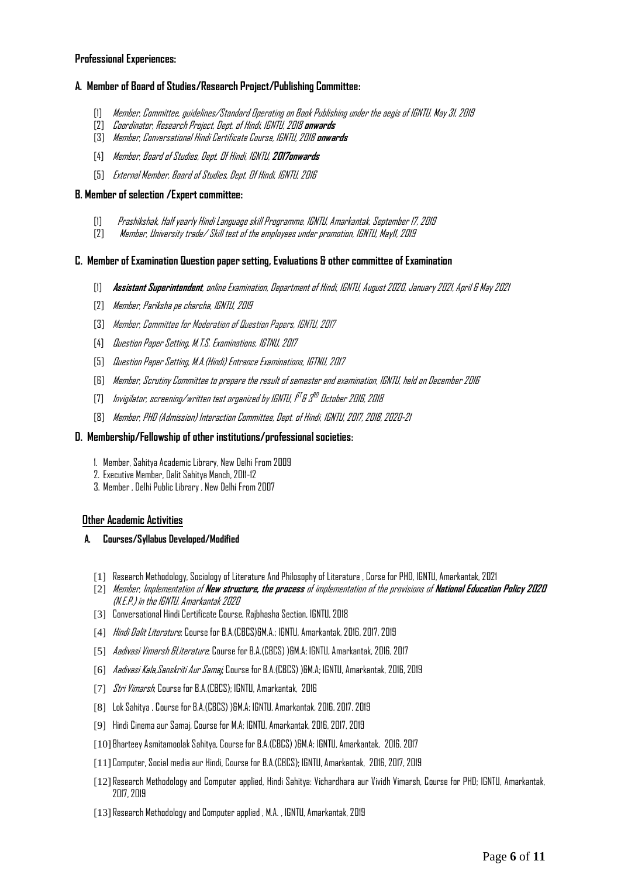#### **Professional Experiences:**

## **A. Member of Board of Studies/Research Project/Publishing Committee:**

- [1] Member, Committee, guidelines/Standard Operating on Book Publishing under the aegis of IGNTU, May 31, 2019
- [2] Coordinator, Research Project, Dept. of Hindi, IGNTU, 2018 **onwards**
- [3] Member, Conversational Hindi Certificate Course, IGNTU, 2018 **onwards**
- [4] Member, Board of Studies, Dept. Of Hindi, IGNTU, **2017onwards**
- [5] External Member, Board of Studies, Dept. Of Hindi, IGNTU, 2016

### **B. Member of selection /Expert committee:**

- [1] Prashikshak, Half yearly Hindi Language skill Programme, IGNTU, Amarkantak, September 17, 2019
- [2] Member, University trade/ Skill test of the employees under promotion, IGNTU, May11, 2019

## **C. Member of Examination Question paper setting, Evaluations & other committee of Examination**

- [1] **Assistant Superintendent**, online Examination, Department of Hindi, IGNTU, August 2020, January 2021, April & May 2021
- [2] Member, Pariksha pe charcha, IGNTU, 2019
- [3] Member, Committee for Moderation of Question Papers, IGNTU, 2017
- [4] Question Paper Setting, M.T.S. Examinations, IGTNU, 2017
- [5] Question Paper Setting, M.A.(Hindi) Entrance Examinations, IGTNU, 2017
- [6] Member, Scrutiny Committee to prepare the result of semester end examination, IGNTU, held on December 2016
- [7] Invigilator, screening/written test organized by IGNTU, i<sup>st</sup> & 3<sup>RD</sup> October 2016, 2018
- [8] Member, PHD (Admission) Interaction Committee, Dept. of Hindi, IGNTU, 2017, 2018, 2020-21

### **D. Membership/Fellowship of other institutions/professional societies:**

- 1. Member, Sahitya Academic Library, New Delhi From 2009
- 2. Executive Member, Dalit Sahitya Manch, 2011-12
- 3. Member , Delhi Public Library , New Delhi From 2007

## **Other Academic Activities**

#### **A. Courses/Syllabus Developed/Modified**

- [1] Research Methodology, Sociology of Literature And Philosophy of Literature , Corse for PHD, IGNTU, Amarkantak, 2021
- [2] Member, Implementation of **New structure, the process** of implementation of the provisions of **National Education Policy 2020** (N.E.P.) in the IGNTU, Amarkantak 2020
- [3] Conversational Hindi Certificate Course, Rajbhasha Section, IGNTU, 2018
- [4] *Hindi Dalit Literature*; Course for B.A.(CBCS)&M.A.; IGNTU, Amarkantak, 2016, 2017, 2019
- [5] Aadivasi Vimarsh &Literature; Course for B.A.(CBCS) )&M.A; IGNTU, Amarkantak, 2016, 2017
- [6] Aadivasi Kala,Sanskriti Aur Samaj; Course for B.A.(CBCS) )&M.A; IGNTU, Amarkantak, 2016, 2019
- [7] Stri Vimarsh; Course for B.A.(CBCS); IGNTU, Amarkantak, 2016
- [8] Lok Sahitya , Course for B.A.(CBCS) )&M.A; IGNTU, Amarkantak, 2016, 2017,2019
- [9] Hindi Cinema aur Samaj, Course for M.A; IGNTU, Amarkantak, 2016, 2017, 2019
- [10] Bharteey Asmitamoolak Sahitya, Course for B.A.(CBCS) )&M.A; IGNTU, Amarkantak, 2016, 2017
- [11] Computer, Social media aur Hindi, Course for B.A.(CBCS); IGNTU, Amarkantak, 2016, 2017, 2019
- [12] Research Methodology and Computer applied, Hindi Sahitya: Vichardhara aur Vividh Vimarsh, Course for PHD; IGNTU, Amarkantak, 2017, 2019
- [13] Research Methodology and Computer applied , M.A. , IGNTU, Amarkantak, 2019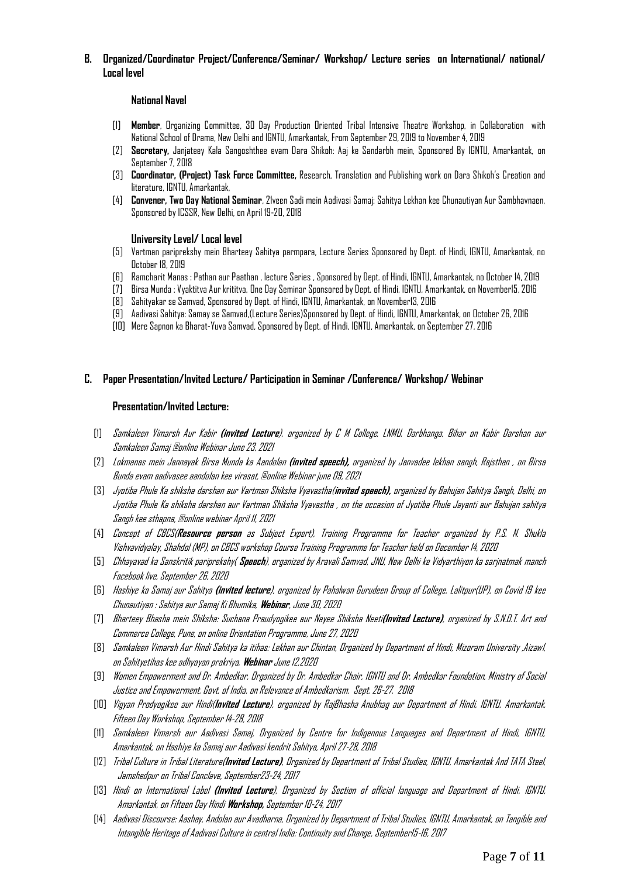**B. Organized/Coordinator Project/Conference/Seminar/ Workshop/ Lecture series on International/ national/ Local level** 

#### **National Navel**

- [1] **Member**, Organizing Committee, 30 Day Production Oriented Tribal Intensive Theatre Workshop, in Collaboration with National School of Drama, New Delhi and IGNTU, Amarkantak, From September 29, 2019 to November 4, 2019
- [2] **Secretary,** Janjateey Kala Sangoshthee evam Dara Shikoh: Aaj ke Sandarbh mein, Sponsored By IGNTU, Amarkantak, on September 7, 2018
- [3] **Coordinator, (Project) Task Force Committee,** Research, Translation and Publishing work on Dara Shikoh's Creation and literature, IGNTU, Amarkantak,
- [4] **Convener, Two Day National Seminar**, 21veen Sadi mein Aadivasi Samaj: Sahitya Lekhan kee Chunautiyan Aur Sambhavnaen, Sponsored by ICSSR, New Delhi, on April 19-20, 2018

#### **University Level/ Local level**

- [5] Vartman pariprekshy mein Bharteey Sahitya parmpara, Lecture Series Sponsored by Dept. of Hindi, IGNTU, Amarkantak, no October 18, 2019
- [6] Ramcharit Manas : Pathan aur Paathan , lecture Series , Sponsored by Dept. of Hindi, IGNTU, Amarkantak, no October 14, 2019
- [7] Birsa Munda : Vyaktitva Aur krititva, One Day Seminar Sponsored by Dept. of Hindi, IGNTU, Amarkantak, on November15, 2016
- [8] Sahityakar se Samvad, Sponsored by Dept. of Hindi, IGNTU, Amarkantak, on November13, 2016
- [9] Aadivasi Sahitya: Samay se Samvad,(Lecture Series)Sponsored by Dept. of Hindi, IGNTU, Amarkantak, on October 26, 2016
- [10] Mere Sapnon ka Bharat-Yuva Samvad, Sponsored by Dept. of Hindi, IGNTU, Amarkantak, on September 27, 2016

#### **C. Paper Presentation/Invited Lecture/ Participation in Seminar /Conference/ Workshop/ Webinar**

#### **Presentation/Invited Lecture:**

- [1] Samkaleen Vimarsh Aur Kabir **(invited Lecture**), organized by C M College, LNMU, Darbhanga, Bihar on Kabir Darshan aur Samkaleen Samaj @online Webinar June 23, 2021
- [2] Lokmanas mein Jannayak Birsa Munda ka Aandolan **(invited speech),** organized by Janvadee lekhan sangh, Rajsthan , on Birsa Bunda evam aadivasee aandolan kee virasat, @online Webinar june 09, 2021
- [3] Jyotiba Phule Ka shiksha darshan aur Vartman Shiksha Vyavastha(**invited speech),** organized by Bahujan Sahitya Sangh, Delhi, on Jyotiba Phule Ka shiksha darshan aur Vartman Shiksha Vyavastha , on the occasion of Jyotiba Phule Jayanti aur Bahujan sahitya Sangh kee sthapna, @online webinar April 11, 2021
- [4] Concept of CBCS(**Resource person** as Subject Expert), Training Programme for Teacher organized by P.S. N. Shukla Vishvavidyalay, Shahdol (MP), on CBCS workshop Course Training Programme for Teacher held on December 14, 2020
- [5] Chhayavad ka Sanskritik pariprekshy( **Speech**), organized by Aravali Samvad, JNU, New Delhi ke Vidyarthiyon ka sarjnatmak manch Facebook live, September 26, 2020
- [6] Hashiye ka Samaj aur Sahitya **(invited lecture**), organized by Pahalwan Gurudeen Group of College, Lalitpur(UP), on Covid 19 kee Chunautiyan : Sahitya aur Samaj Ki Bhumika, **Webinar**, June 30, 2020
- [7] Bharteey Bhasha mein Shiksha: Suchana Praudyogikee aur Nayee Shiksha Neeti**(Invited Lecture)**, organized by S.N.D.T. Art and Commerce College, Pune, on online Orientation Programme, June 27, 2020
- [8] Samkaleen Vimarsh Aur Hindi Sahitya ka itihas: Lekhan aur Chintan, Organized by Department of Hindi, Mizoram University ,Aizawl, on Sahityetihas kee adhyayan prakriya, **Webinar**June 12,2020
- [9] Women Empowerment and Dr. Ambedkar, Organized by Dr. Ambedkar Chair, IGNTU and Dr. Ambedkar Foundation, Ministry of Social Justice and Empowerment, Govt. of India, on Relevance of Ambedkarism, Sept. 26-27, 2018
- [10] Vigyan Prodyogikee aur Hindi(**Invited Lecture**), organized by RajBhasha Anubhag aur Department of Hindi, IGNTU, Amarkantak, Fifteen Day Workshop, September 14-28, 2018
- [11] Samkaleen Vimarsh aur Aadivasi Samaj, Organized by Centre for Indigenous Languages and Department of Hindi, IGNTU, Amarkantak, on Hashiye ka Samaj aur Aadivasi kendrit Sahitya, April 27-28, 2018
- [12] Tribal Culture in Tribal Literature(**Invited Lecture)**, Organized by Department of Tribal Studies, IGNTU, Amarkantak And TATA Steel, Jamshedpur on Tribal Conclave, September23-24, 2017
- [13] Hindi on International Label **(Invited Lecture**), Organized by Section of official language and Department of Hindi, IGNTU, Amarkantak, on Fifteen Day Hindi **Workshop,** September 10-24, 2017
- [14] Aadivasi Discourse: Aashay, Andolan aur Avadharna, Organized by Department of Tribal Studies, IGNTU, Amarkantak, on Tangible and Intangible Heritage of Aadivasi Culture in central India: Continuity and Change, September15-16, 2017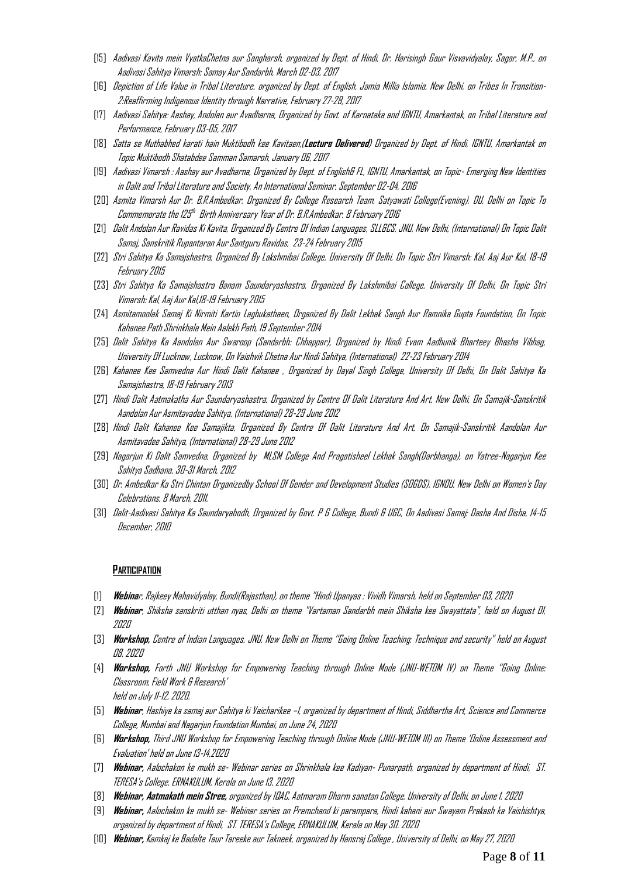- [15] Aadivasi Kavita mein VyatkaChetna aur Sangharsh, organized by Dept. of Hindi, Dr. Harisingh Gaur Visvavidyalay, Sagar, M.P., on Aadivasi Sahitya Vimarsh: Samay Aur Sandarbh, March 02-03, 2017
- [16] Depiction of Life Value in Tribal Literature, organized by Dept. of English, Jamia Millia Islamia, New Delhi, on Tribes In Transition-2:Reaffirming Indigenous Identity through Narrative, February27-28, 2017
- [17] Aadivasi Sahitya: Aashay, Andolan aur Avadharna, Organized by Govt. of Karnataka and IGNTU, Amarkantak, on Tribal Literature and Performance, February 03-05, 2017
- [18] Satta se Muthabhed karati hain Muktibodh kee Kavitaen,(**Lecture Delivered**) Organized by Dept. of Hindi, IGNTU, Amarkantak on Topic Muktibodh Shatabdee Samman Samaroh, January 06, 2017
- [19] Aadivasi Vimarsh : Aashay aur Avadharna, Organized by Dept. of English& FL, IGNTU, Amarkantak, on Topic- Emerging New Identities in Dalit and Tribal Literature and Society, An International Seminar, September 02-04, 2016
- [20] Asmita Vimarsh Aur Dr. B.R.Ambedkar, Organized By College Research Team, Satyawati College(Evening), DU, Delhi on Topic To Commemorate the I25<sup>th</sup> Birth Anniversary Year of Dr. B.R.Ambedkar, 8 February 2016
- [21] Dalit Andolan Aur Ravidas Ki Kavita, Organized By Centre Of Indian Languages, SLL&CS, JNU, New Delhi, (International) On Topic Dalit Samaj, Sanskritik Rupantaran Aur Santguru Ravidas, 23-24 February 2015
- [22] Stri Sahitya Ka Samajshastra, Organized By Lakshmibai College, University Of Delhi, On Topic Stri Vimarsh: Kal, Aaj Aur Kal, 18-19 February 2015
- [23] Stri Sahitya Ka Samajshastra Banam Saundaryashastra, Organized By Lakshmibai College, University Of Delhi, On Topic Stri Vimarsh: Kal, Aaj Aur Kal,18-19 February 2015
- [24] Asmitamoolak Samaj Ki Nirmiti Kartin Laghukathaen, Organized By Dalit Lekhak Sangh Aur Ramnika Gupta Foundation, On Topic Kahanee Path Shrinkhala Mein Aalekh Path, 19 September 2014
- [25] Dalit Sahitya Ka Aandolan Aur Swaroop (Sandarbh: Chhappar), Organized by Hindi Evam Aadhunik Bharteey Bhasha Vibhag, University Of Lucknow, Lucknow, On Vaishvik Chetna Aur Hindi Sahitya, (International) 22-23 February 2014
- [26] Kahanee Kee Samvedna Aur Hindi Dalit Kahanee , Organized by Dayal Singh College, University Of Delhi, On Dalit Sahitya Ka Samajshastra, 18-19 February 2013
- [27] Hindi Dalit Aatmakatha Aur Saundaryashastra, Organized by Centre Of Dalit Literature And Art, New Delhi, On Samajik-Sanskritik Aandolan Aur Asmitavadee Sahitya, (International) 28-29 June 2012
- [28] Hindi Dalit Kahanee Kee Samajikta, Organized By Centre Of Dalit Literature And Art, On Samajik-Sanskritik Aandolan Aur Asmitavadee Sahitya, (International) 28-29 June 2012
- [29] Nagarjun Ki Dalit Samvedna, Organized by MLSM College And Pragatisheel Lekhak Sangh(Darbhanga), on Yatree-Nagarjun Kee Sahitya Sadhana, 30-31 March, 2012
- [30] Dr. Ambedkar Ka Stri Chintan Organizedby School Of Gender and Development Studies (SOGDS), IGNOU, New Delhi on Women's Day Celebrations, 8 March, 2011.
- [31] Dalit-Aadivasi Sahitya Ka Saundaryabodh, Organized by Govt. P G College, Bundi & UGC, On Aadivasi Samaj: Dasha And Disha, 14-15 December, 2010

#### **PARTICIPATION**

- [1] **Webina**r, Rajkeey Mahavidyalay, Bundi(Rajasthan), on theme "Hindi Upanyas : Vividh Vimarsh, held on September 03, 2020
- [2] **Webinar**, Shiksha sanskriti utthan nyas, Delhi on theme "Vartaman Sandarbh mein Shiksha kee Swayattata", held on August 01, 2020
- [3] **Workshop,** Centre of Indian Languages, JNU, New Delhi on Theme ''Going Online Teaching: Technique and security" held on August 08, 2020
- [4] **Workshop,** Forth JNU Workshop for Empowering Teaching through Online Mode (JNU-WETOM IV) on Theme ''Going Online: Classroom, Field Work & Research' held on July 11-12, 2020.
- [5] **Webinar**, Hashiye ka samaj aur Sahitya ki Vaicharikee –I, organized by department of Hindi, Siddhartha Art, Science and Commerce College, Mumbai and Nagarjun Foundation Mumbai, on June 24, 2020
- [6] **Workshop,** Third JNU Workshop for Empowering Teaching through Online Mode (JNU-WETOM III) on Theme 'Online Assessment and Evaluation' held on June 13-14,2020
- [7] **Webinar,** Aalochakon ke mukh se- Webinar series on Shrinkhala kee Kadiyan- Punarpath, organized by department of Hindi, ST. TERESA's College, ERNAKULUM, Kerala on June 13, 2020
- [8] **Webinar, Aatmakath mein Stree,** organized by IQAC, Aatmaram Dharm sanatan College, University of Delhi, on June 1, 2020
- [9] **Webinar,** Aalochakon ke mukh se- Webinar series on Premchand ki parampara, Hindi kahani aur Swayam Prakash ka Vaishishtya, organized by department of Hindi, ST. TERESA's College, ERNAKULUM, Kerala on May 30. 2020
- [10] **Webinar,** Kamkaj ke Badalte Taur Tareeke aur Takneek, organized by Hansraj College , University of Delhi, on May 27, 2020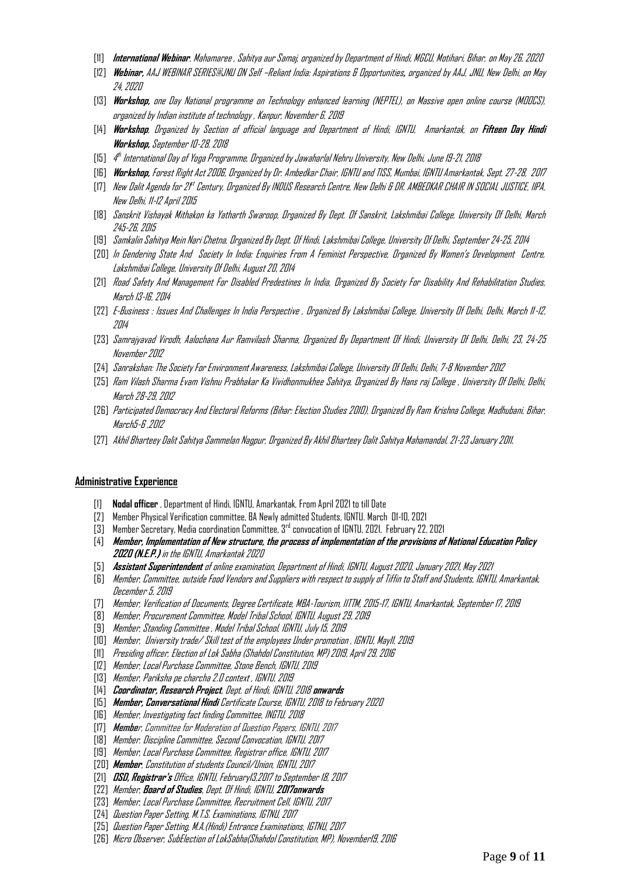- [11] **International Webinar**, Mahamaree , Sahitya aur Samaj, organized by Department of Hindi, MGCU, Motihari, Bihar, on May 26, 2020
- [12] **Webinar,** AAJ WEBINAR SERIES@JNU ON Self –Reliant India: Aspirations & Opportunities**,** organized by AAJ, JNU, New Delhi, on May 24, 2020
- [13] **Workshop,** one Day National programme on Technology enhanced learning (NEPTEL), on Massive open online course (MOOCS), organized by Indian institute of technology , Kanpur, November 6, 2019
- [14] **Workshop**, Organized by Section of official language and Department of Hindi, IGNTU, Amarkantak, on **Fifteen Day Hindi Workshop,** September 10-28, 2018
- [15] 4 th International Day of Yoga Programme, Organized by Jawaharlal Nehru University, New Delhi, June 19-21, 2018
- [16] **Workshop,** Forest Right Act 2006, Organized by Dr. Ambedkar Chair, IGNTU and TISS, Mumbai, IGNTU Amarkantak, Sept. 27-28, 2017
- (17) New Dalit Agenda for 2f<sup>t</sup> Century, Organized By INDUS Research Centre, New Delhi & DR. AMBEDKAR CHAIR IN SOCIAL JUSTICE, IIPA, New Delhi, 11-12 April 2015
- [18] Sanskrit Vishayak Mithakon ka Yatharth Swaroop, Organized By Dept. Of Sanskrit, Lakshmibai College, University Of Delhi, March 245-26, 2015
- [19] Samkalin Sahitya Mein Nari Chetna, Organized By Dept. Of Hindi, Lakshmibai College, University Of Delhi, September 24-25, 2014
- [20] In Gendering State And Society In India: Enquiries From A Feminist Perspective, Organized By Women's Development Centre, Lakshmibai College, University Of Delhi, August 20, 2014
- [21] Road Safety And Management For Disabled Predestines In India, Organized By Society For Disability And Rehabilitation Studies, March 13-16, 2014
- [22] E-Business : Issues And Challenges In India Perspective , Organized By Lakshmibai College, University Of Delhi, Delhi, March 11-12, 2014
- [23] Samrajyavad Virodh, Aalochana Aur Ramvilash Sharma, Organized By Department Of Hindi, University Of Delhi, Delhi, 23, 24-25 November 2012
- [24] Sanrakshan: The Society For Environment Awareness, Lakshmibai College, University Of Delhi, Delhi, 7-8 November 2012
- [25] Ram Vilash Sharma Evam Vishnu Prabhakar Ka Vividhonmukhee Sahitya, Organized By Hans raj College , University Of Delhi, Delhi, March 28-29, 2012
- [26] Participated Democracy And Electoral Reforms (Bihar: Election Studies 2010), Organized By Ram Krishna College, Madhubani, Bihar, March5-6 ,2012
- [27] Akhil Bharteey Dalit Sahitya Sammelan Nagpur, Organized By Akhil Bharteey Dalit Sahitya Mahamandal, 21-23 January 2011.

#### **Administrative Experience**

- [1] **Nodal officer** , Department of Hindi, IGNTU, Amarkantak, From April 2021 to till Date
- [2] Member Physical Verification committee, BA Newly admitted Students, IGNTU. March 01-10, 2021
- [3] Member Secretary, Media coordination Committee, 3rd convocation of IGNTU, 2021, February 22, 2021
- [4] **Member, Implementation of New structure, the process of implementation of the provisions of National Education Policy 2020 (N.E.P.)** in the IGNTU, Amarkantak 2020
- [5] **Assistant Superintendent** of online examination, Department of Hindi, IGNTU, August 2020, January 2021, May 2021
- [6] Member, Committee, outside Food Vendors and Suppliers with respect to supply of Tiffin to Staff and Students, IGNTU, Amarkantak, December 5, 2019
- [7] Member, Verification of Documents, Degree Certificate, MBA-Tourism, IITTM, 2015-17, IGNTU, Amarkantak, September 17, 2019
- [8] Member, Procurement Committee, Model Tribal School, IGNTU, August 29, 2019
- [9] Member, Standing Committee , Model Tribal School, IGNTU, July 15, 2019
- [10] Member, University trade/ Skill test of the employees Under promotion , IGNTU, May11, 2019
- [11] Presiding officer, Election of Lok Sabha (Shahdol Constitution, MP) 2019, April 29, 2016
- [12] Member, Local Purchase Committee, Stone Bench, IGNTU, 2019
- [13] Member, Pariksha pe charcha 2.0 context , IGNTU, 2019
- [14] **Coordinator, Research Project**, Dept. of Hindi, IGNTU, 2018 **onwards**
- [15] **Member, Conversational Hindi** Certificate Course, IGNTU, 2018 to February 2020
- [16] Member, Investigating fact finding Committee, INGTU, 2018
- [17] **Membe**r, Committee for Moderation of Question Papers, IGNTU, 2017
- [18] Member. Discipline Committee, Second Convocation, IGNTU, 2017
- [19] Member, Local Purchase Committee, Registrar office, IGNTU, 2017
- [20] **Member**, Constitution of students Council/Union, IGNTU, 2017
- [21] **OSD, Registrar's** Office, IGNTU, February13,2017 to September 18, 2017
- [22] Member, **Board of Studies**, Dept. Of Hindi, IGNTU, **2017onwards**
- [23] Member, Local Purchase Committee, Recruitment Cell, IGNTU, 2017
- [24] Question Paper Setting, M.T.S. Examinations, IGTNU, 2017
- [25] Question Paper Setting, M.A.(Hindi) Entrance Examinations, IGTNU, 2017
- [26] Micro Observer, SubElection of LokSabha(Shahdol Constitution, MP), November19, 2016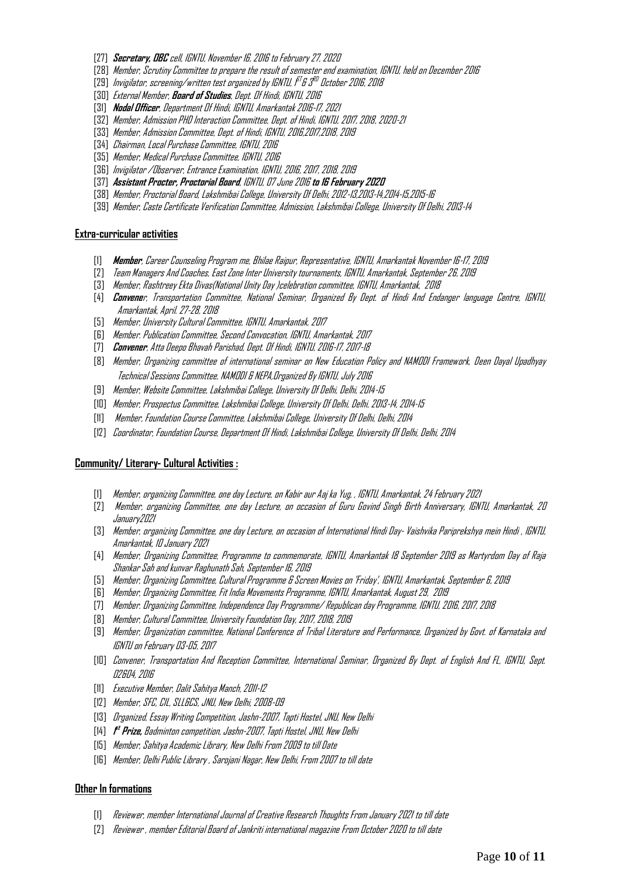- [27] **Secretary, OBC** cell, IGNTU, November 16, 2016 to February 27, 2020
- [28] Member, Scrutiny Committee to prepare the result of semester end examination, IGNTU, held on December 2016
- [29] Invigilator, screening/written test organized by IGNTU, i<sup>st</sup>& 3<sup>RD</sup> October 2016, 2018
- [30] External Member, **Board of Studies**, Dept. Of Hindi, IGNTU,2016
- [31] **Nodal Officer**, Department Of Hindi, IGNTU, Amarkantak 2016-17, 2021
- [32] Member, Admission PHD Interaction Committee, Dept. of Hindi, IGNTU, 2017, 2018, 2020-21
- [33] Member, Admission Committee, Dept. of Hindi, IGNTU, 2016,2017,2018, 2019
- [34] Chairman, Local Purchase Committee, IGNTU, 2016
- [35] Member, Medical Purchase Committee, IGNTU, 2016
- [36] Invigilator /Observer, Entrance Examination, IGNTU, 2016, 2017, 2018, 2019
- [37] **Assistant Procter, Proctorial Board**, IGNTU, 07 June 2016 **to 16 February 2020**
- [38] Member, Proctorial Board, Lakshmibai College, University Of Delhi, 2012-13,2013-14,2014-15,2015-16
- [39] Member, Caste Certificate Verification Committee, Admission, Lakshmibai College, University Of Delhi, 2013-14

#### **Extra-curricular activities**

- [1] **Member**, Career Counseling Program me, Bhilae Raipur, Representative, IGNTU, Amarkantak November 16-17, 2019
- [2] Team Managers And Coaches, East Zone Inter University tournaments, IGNTU, Amarkantak, September 26, 2019
- [3] Member, Rashtreey Ekta Divas(National Unity Day )celebration committee, IGNTU, Amarkantak, 2018
- [4] **Convene**r, Transportation Committee, National Seminar, Organized By Dept. of Hindi And Endanger language Centre, IGNTU, Amarkantak, April. 27-28, 2018
- [5] Member, University Cultural Committee, IGNTU, Amarkantak, 2017
- [6] Member. Publication Committee, Second Convocation, IGNTU, Amarkantak,2017
- [7] **Convener**, Atta Deepo Bhavah Parishad, Dept. Of Hindi, IGNTU, 2016-17, 2017-18
- [8] Member, Organizing committee of international seminar on New Education Policy and NAMODI Framework, Deen Dayal Upadhyay Technical Sessions Committee, NAMODI & NEPA,Organized By IGNTU, July 2016
- [9] Member, Website Committee, Lakshmibai College, University Of Delhi, Delhi, 2014-15
- [10] Member, Prospectus Committee, Lakshmibai College, University Of Delhi, Delhi, 2013-14, 2014-15
- [11] Member, Foundation Course Committee, Lakshmibai College, University Of Delhi, Delhi, 2014
- [12] Coordinator, Foundation Course, Department Of Hindi, Lakshmibai College, University Of Delhi, Delhi, 2014

#### **Community/ Literary- Cultural Activities :**

- [1] Member, organizing Committee, one day Lecture, on Kabir aur Aaj ka Yug, , IGNTU, Amarkantak, 24 February2021
- [2] Member, organizing Committee, one day Lecture, on occasion of Guru Govind Singh Birth Anniversary, IGNTU, Amarkantak, 20 January2021
- [3] Member, organizing Committee, one day Lecture, on occasion of International Hindi Day- Vaishvika Pariprekshya mein Hindi , IGNTU, Amarkantak, 10 January2021
- [4] Member, Organizing Committee, Programme to commemorate, IGNTU, Amarkantak 18 September 2019 as Martyrdom Day of Raja Shankar Sah and kunvar Raghunath Sah, September 16, 2019
- [5] Member, Organizing Committee, Cultural Programme & Screen Movies on 'Friday', IGNTU, Amarkantak, September 6, 2019
- [6] Member, Organizing Committee, Fit India Movements Programme, IGNTU, Amarkantak, August 29, 2019
- [7] Member. Organizing Committee, Independence Day Programme/ Republican day Programme, IGNTU, 2016, 2017, 2018
- [8] Member, Cultural Committee, University Foundation Day, 2017, 2018, 2019
- [9] Member, Organization committee, National Conference of Tribal Literature and Performance, Organized by Govt. of Karnataka and IGNTU on February 03-05, 2017
- [10] Convener, Transportation And Reception Committee, International Seminar, Organized By Dept. of English And FL, IGNTU, Sept. 02&04, 2016
- [11] Executive Member, Dalit Sahitya Manch, 2011-12
- [12] Member, SFC, CIL, SLL&CS, JNU, New Delhi, 2008-09
- [13] Organized, Essay Writing Competition, Jashn-2007, Tapti Hostel, JNU, New Delhi
- [14] **1 st Prize,** Badminton competition, Jashn-2007, Tapti Hostel, JNU, New Delhi
- [15] Member, Sahitya Academic Library, New Delhi From 2009 to till Date
- [16] Member, Delhi Public Library , Sarojani Nagar, New Delhi, From 2007 to till date

#### **Other In formations**

- [1] Reviewer, member International Journal of Creative Research Thoughts From January 2021 to till date
- [2] Reviewer , member Editorial Board of Jankriti international magazine From October 2020 to till date